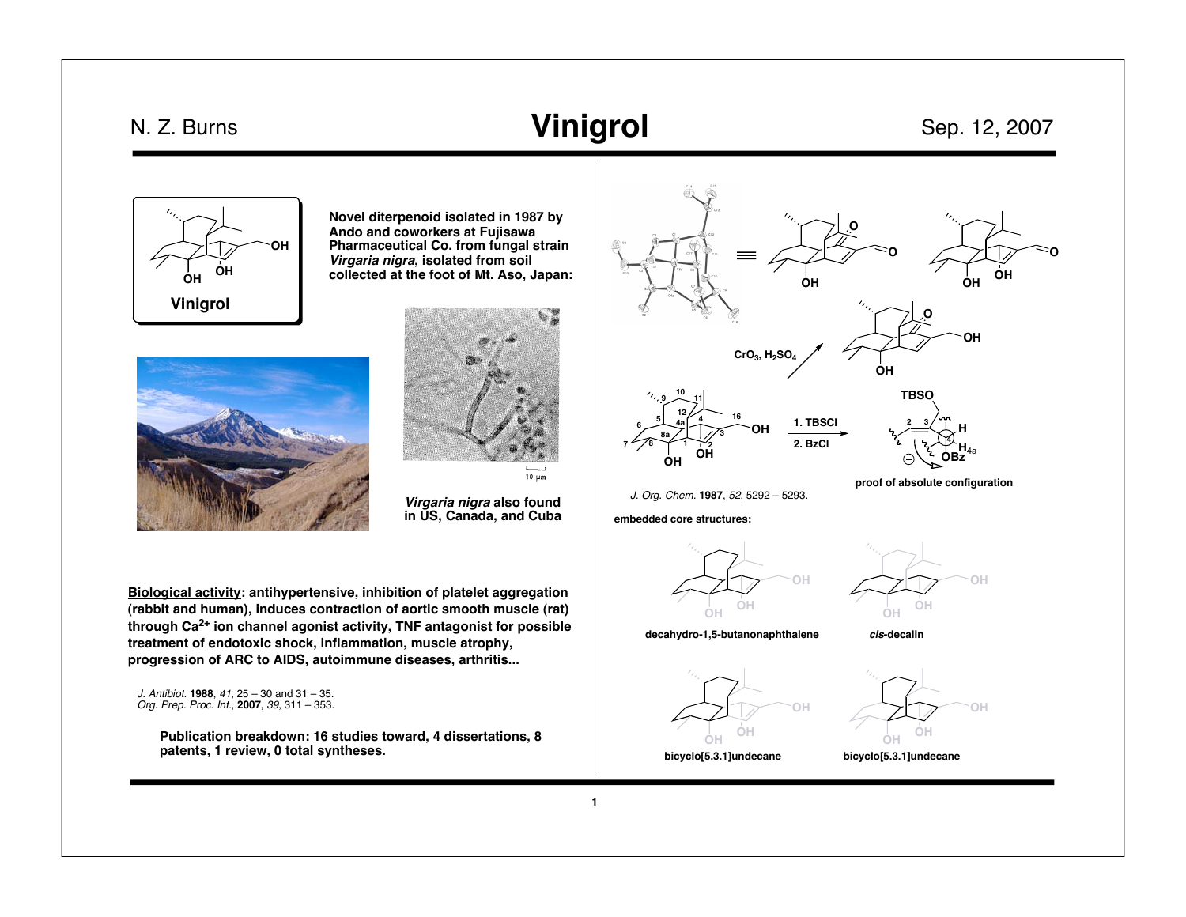## N. Z. Burns

## **Vinigrol** Sep. 12, 2007



**Novel diterpenoid isolated in 1987 by Ando and coworkers at Fujisawa Pharmaceutical Co. from fungal strain Virgaria nigra, isolated from soil collected at the foot of Mt. Aso, Japan:**



 $10 \mu m$ 

**Virgaria nigra also found in US, Canada, and Cuba**

**Biological activity: antihypertensive, inhibition of platelet aggregation (rabbit and human), induces contraction of aortic smooth muscle (rat) through Ca2+ ion channel agonist activity, TNF antagonist for possible treatment of endotoxic shock, inflammation, muscle atrophy, progression of ARC to AIDS, autoimmune diseases, arthritis...**

J. Antibiot. **1988**, 41, 25 – 30 and 31 – 35. Org. Prep. Proc. Int., **2007**, 39, 311 – 353.

> **Publication breakdown: 16 studies toward, 4 dissertations, 8 patents, 1 review, 0 total syntheses.**

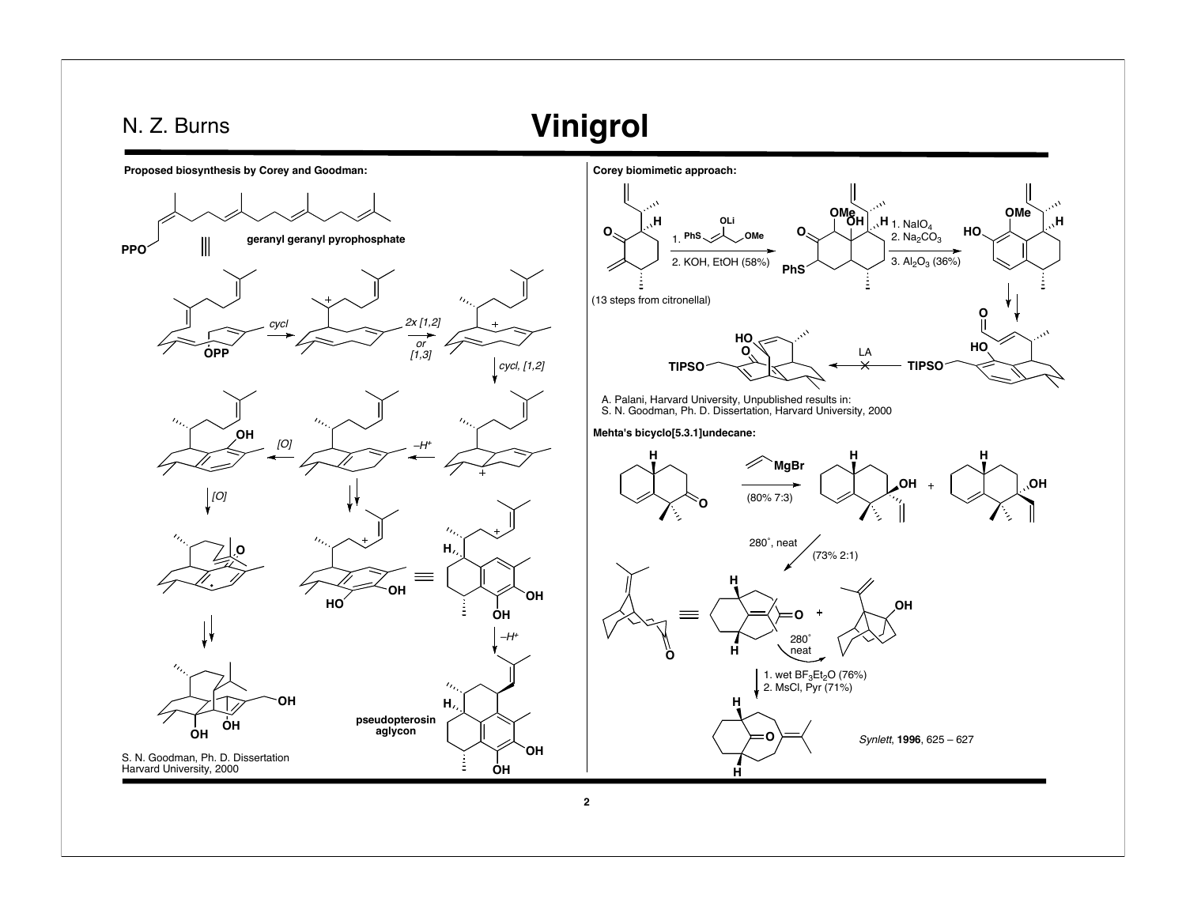## **Vinigrol** N. Z. Burns **Proposed biosynthesis by Corey and Goodman: Corey biomimetic approach: OMe OH H OMe**  $\mathsf{H}_1$ . NaIO<sub>4</sub> **OLi H H O HO O** 2.  $Na<sub>2</sub>CO<sub>3</sub>$ **geranyl geranyl pyrophosphate PhS OMe** 1.  $\parallel$ **PPO** 2. KOH, EtOH (58%) 3.  $Al_2O_3$  (36%) **PhS** (13 steps from citronellal) **O** cycl  $\frac{1}{2}$   $\frac{2x [1,2]}{2}$ **HO HO** or [1,3] **O** LA **OPP** cycl, [1,2] **TIPSO TIPSO** A. Palani, Harvard University, Unpublished results in: S. N. Goodman, Ph. D. Dissertation, Harvard University, 2000 **Mehta's bicyclo[5.3.1]undecane: OH** [O] –H<sup>+</sup> **H H H MgBr OH OH**  $\ddot{\phantom{1}}$  $[O]$ (80% 7:3) **O** 280˚, neat **H O** (73% 2:1) **H OH HO OH OH OH** = **O** –H+280˚ neat **H O** 1. wet BF<sub>3</sub>Et<sub>2</sub>O (76%)<br>2. MsCl, Pyr (71%) **OH H H pseudopterosin OH aglycon OH O** Synlett, **1996**, 625 – 627 **OH** S. N. Goodman, Ph. D. Dissertation Harvard University, 2000 **OH H 2**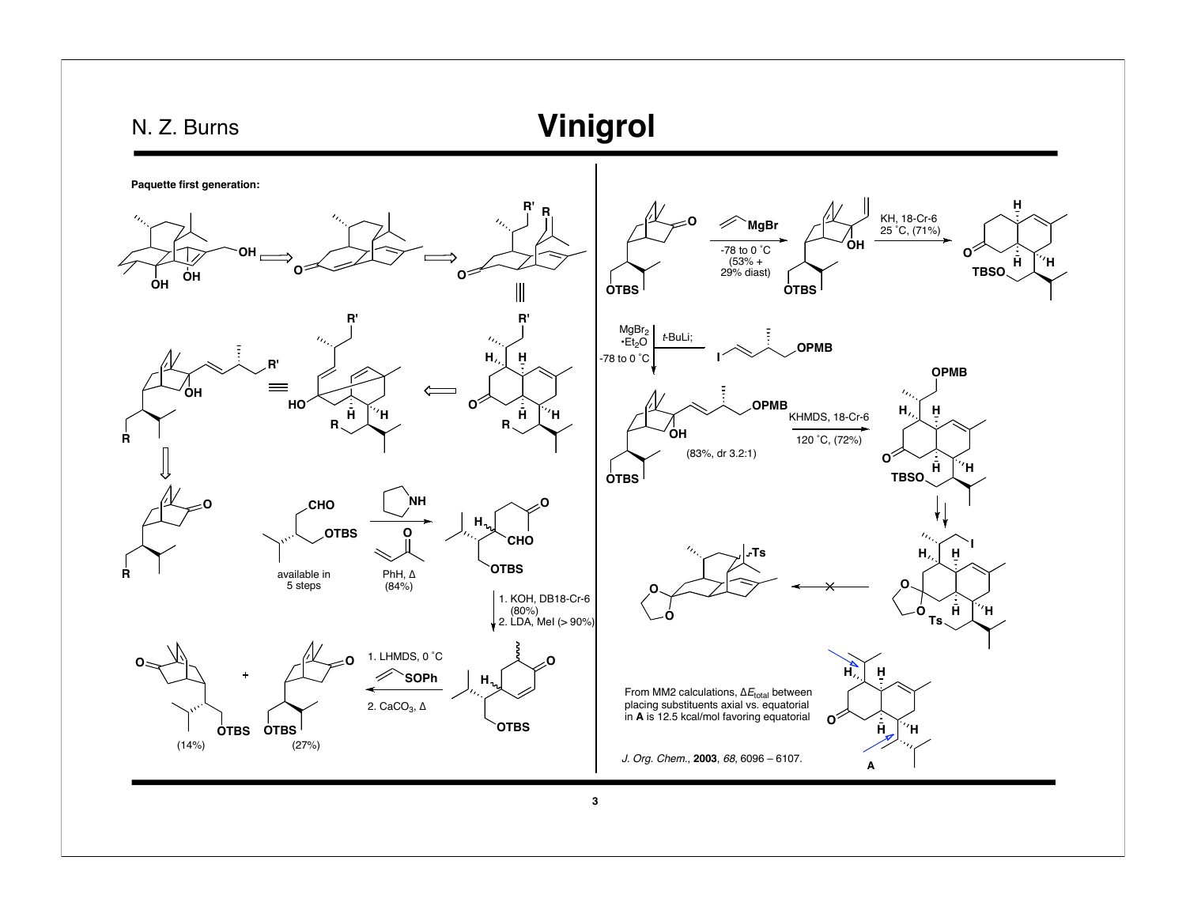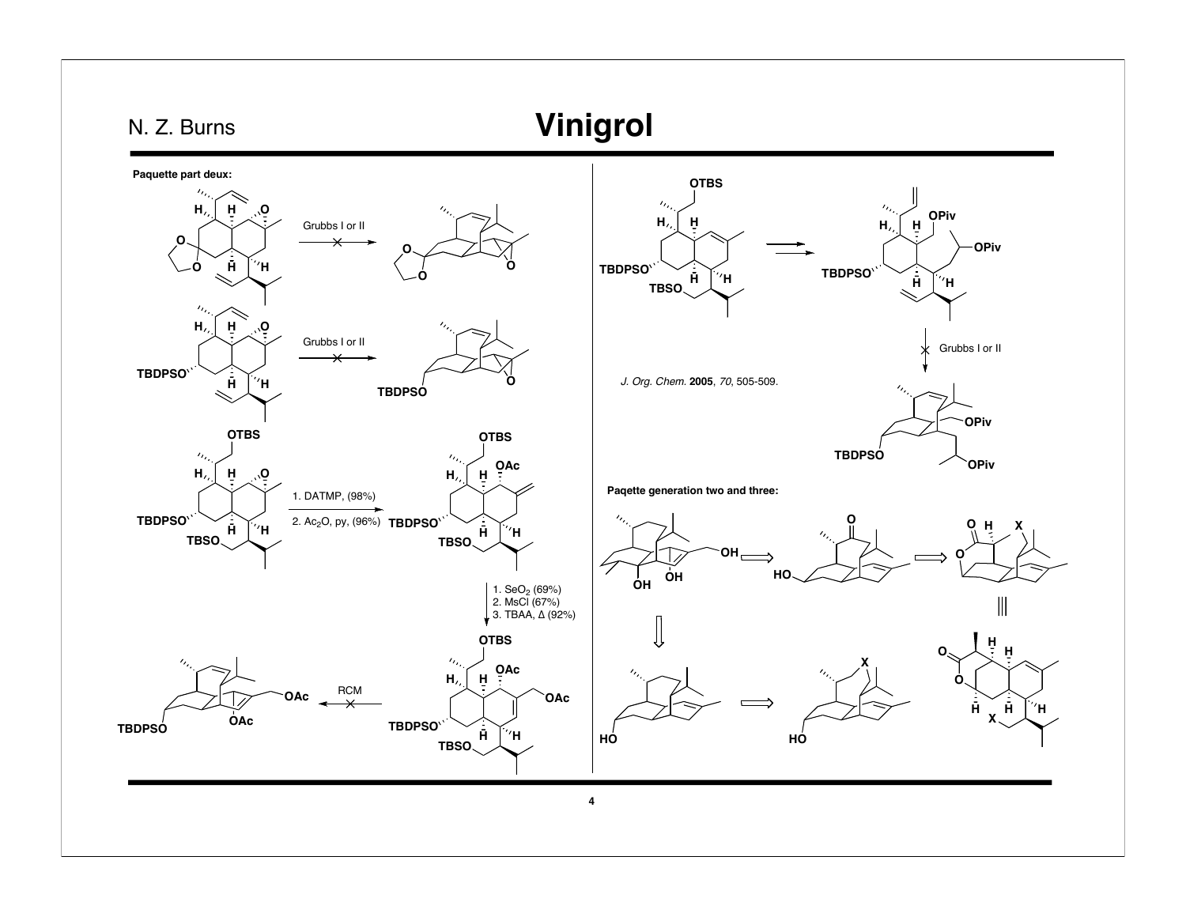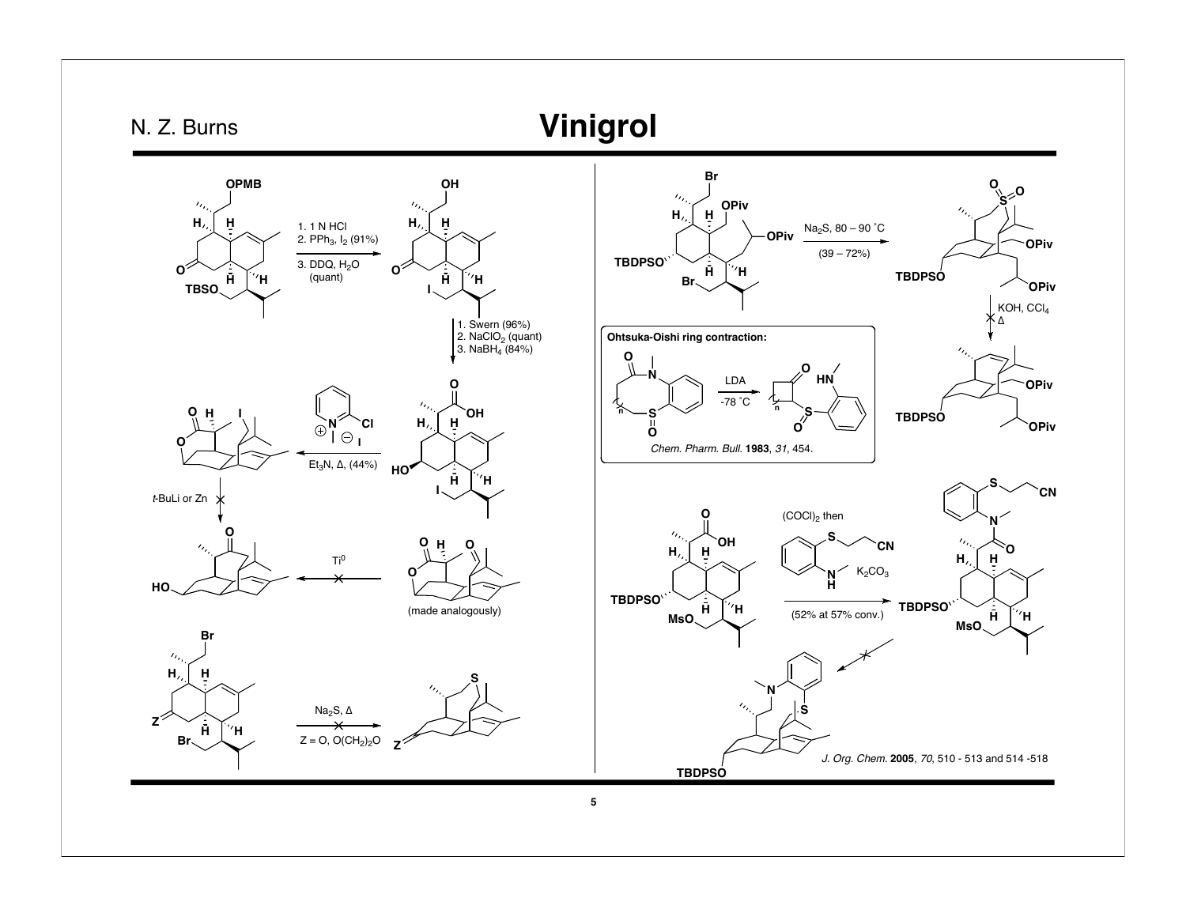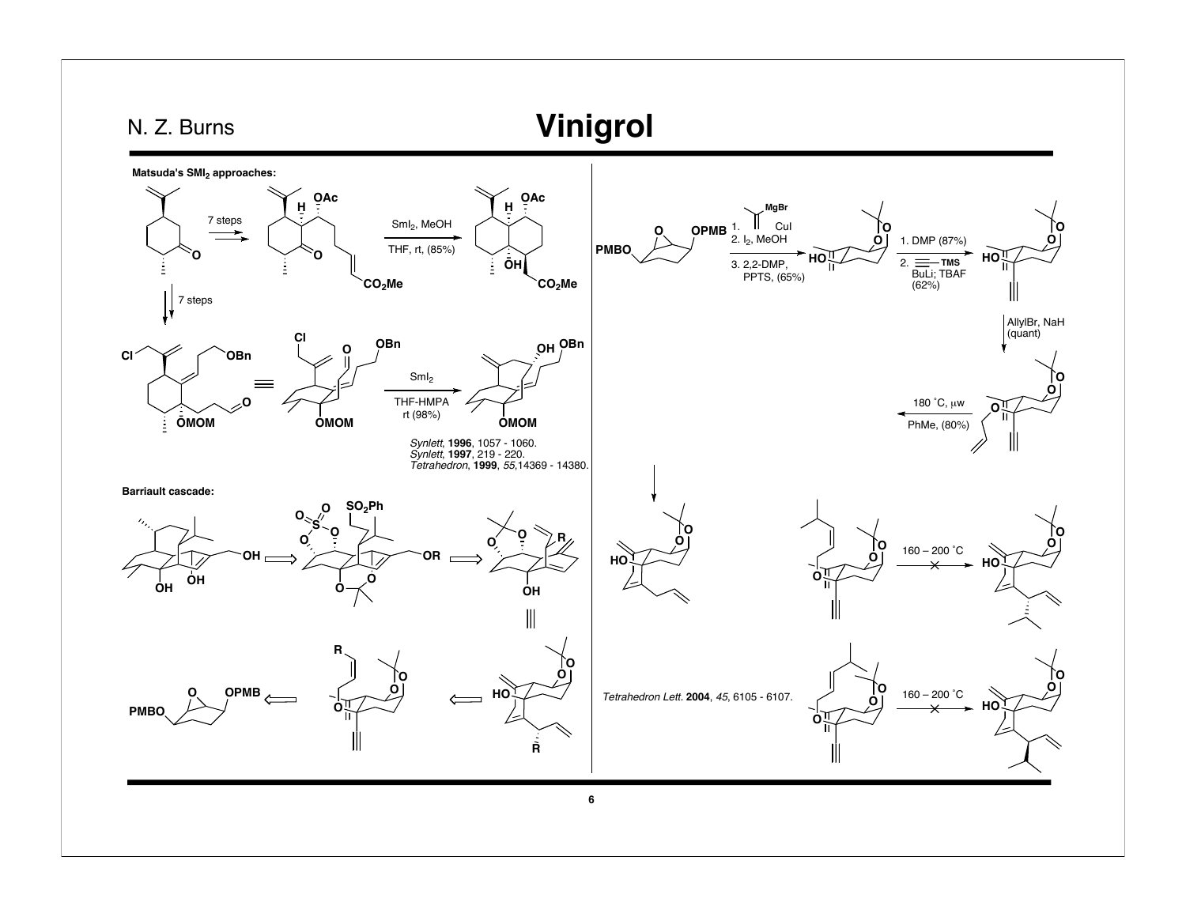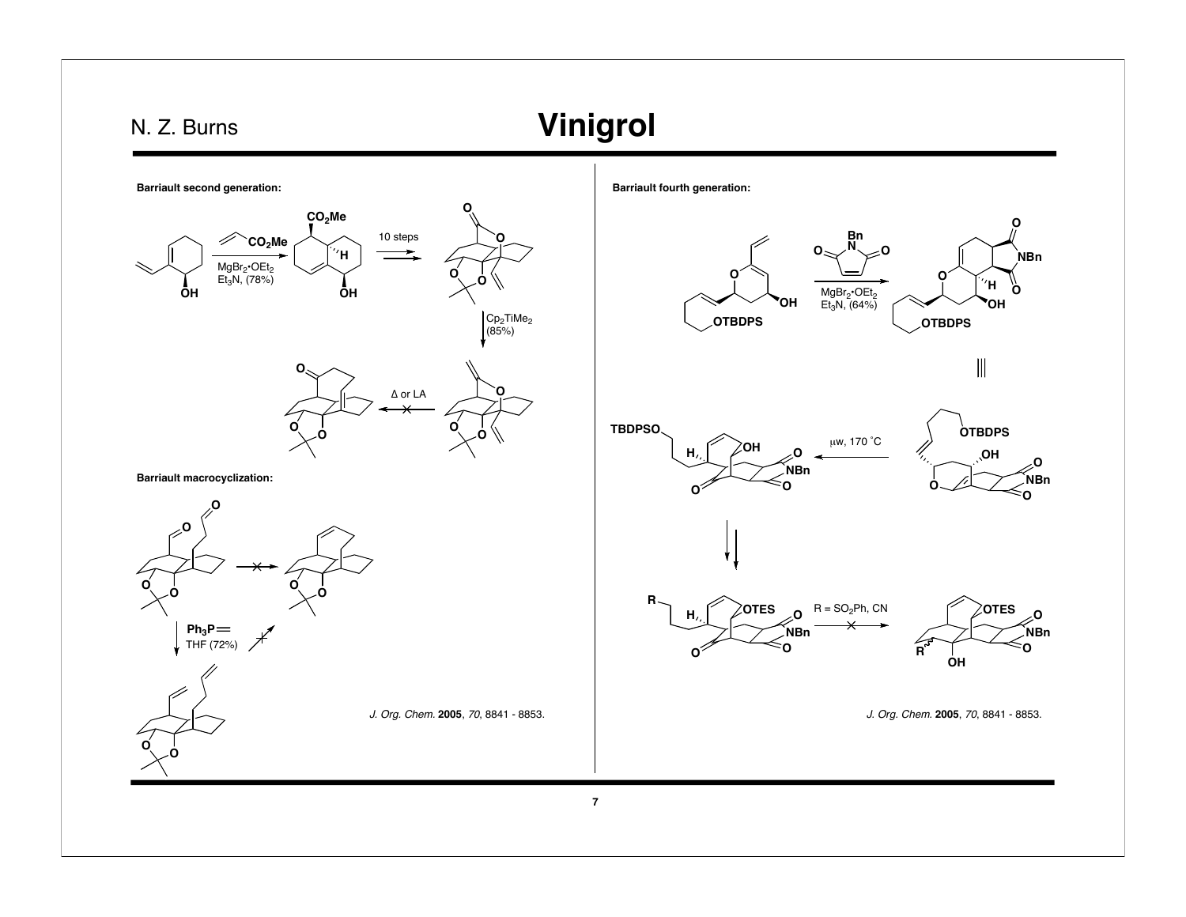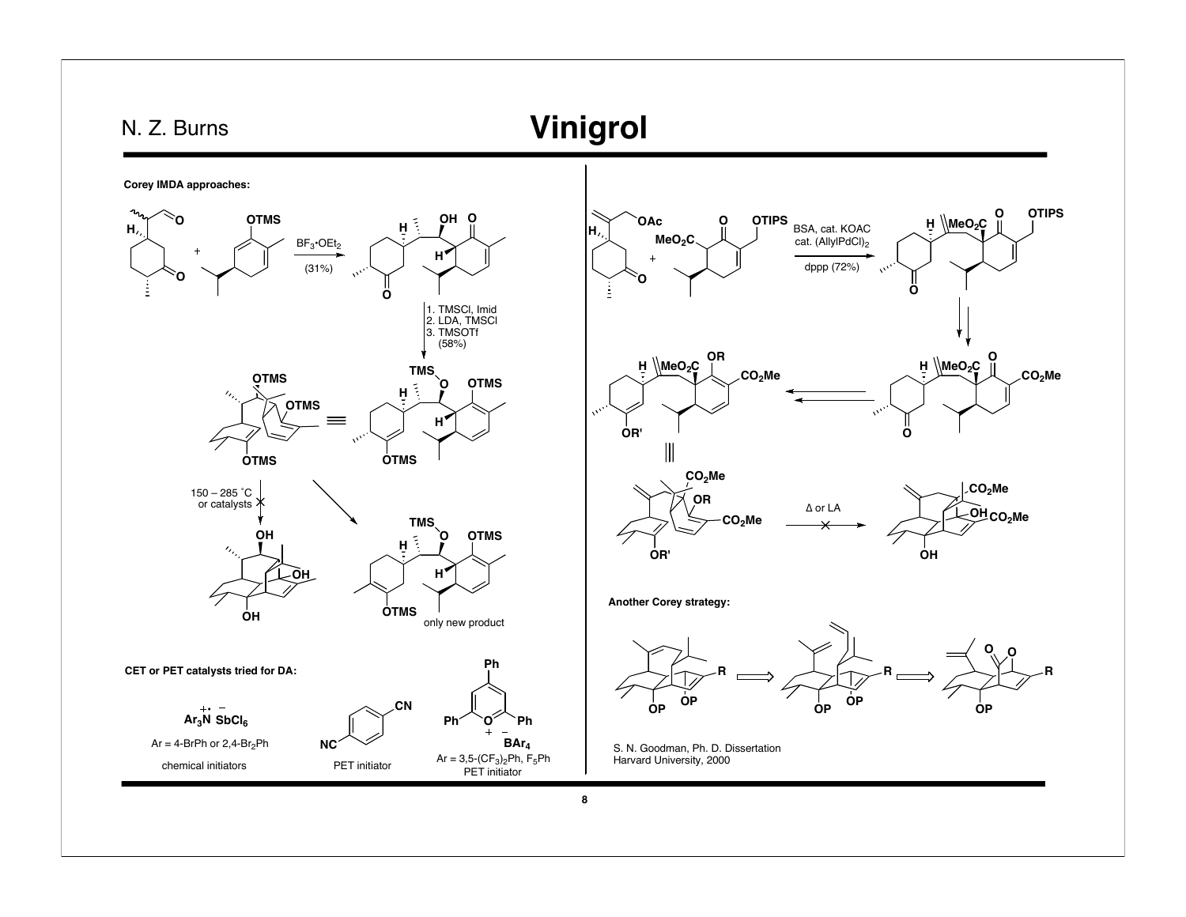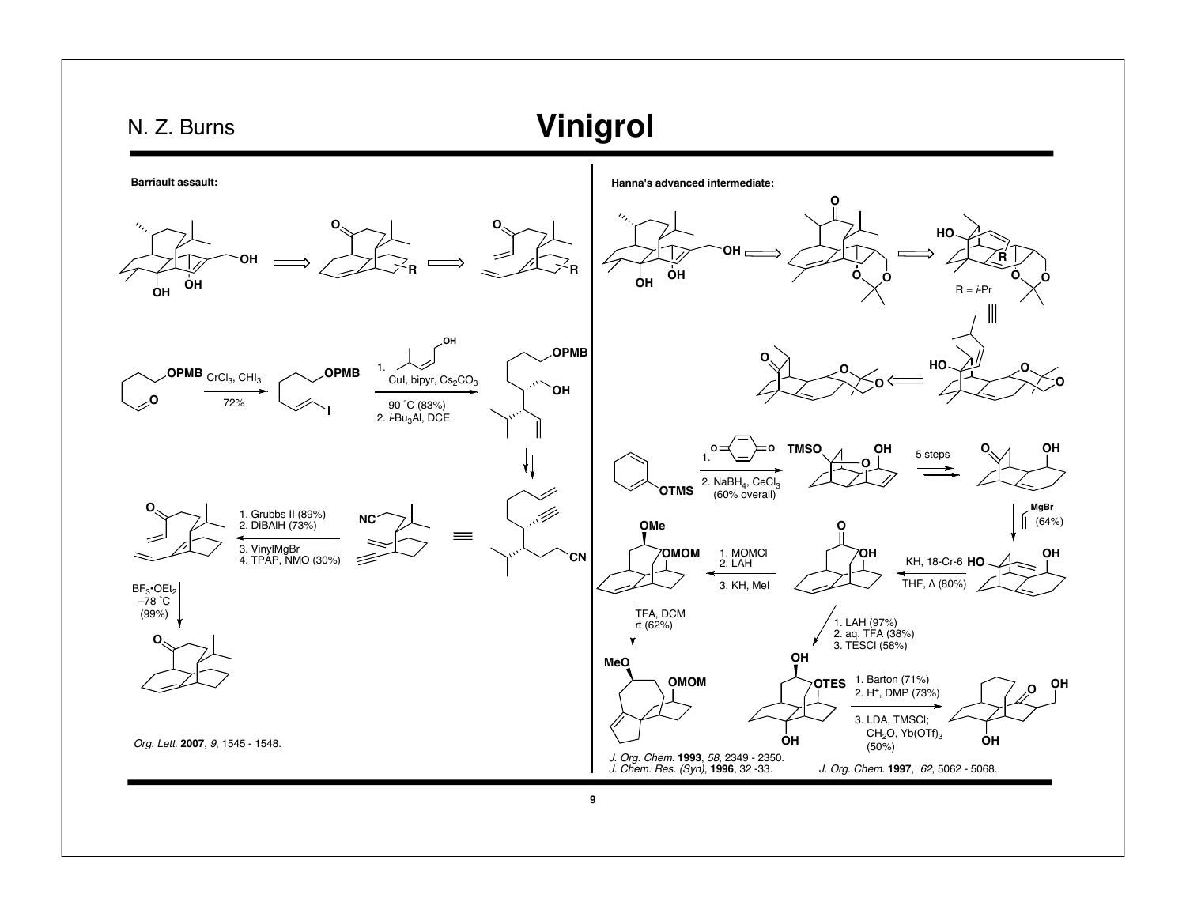